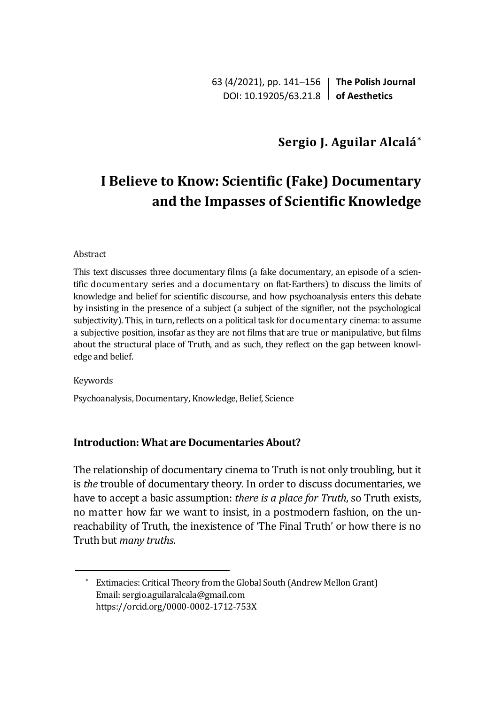63 (4/2021), pp. 141–156 **The Polish Journal** DOI: 10.19205/63.21.8 **of Aesthetics**

## **Sergio J. Aguilar Alcalá\***

# **I Believe to Know: Scientific (Fake) Documentary and the Impasses of Scientific Knowledge**

#### Abstract

This text discusses three documentary films (a fake documentary, an episode of a scientific documentary series and a documentary on flat-Earthers) to discuss the limits of knowledge and belief for scientific discourse, and how psychoanalysis enters this debate by insisting in the presence of a subject (a subject of the signifier, not the psychological subjectivity). This, in turn, reflects on a political task for documentary cinema: to assume a subjective position, insofar as they are not films that are true or manipulative, but films about the structural place of Truth, and as such, they reflect on the gap between knowledge and belief.

Keywords

Psychoanalysis, Documentary, Knowledge, Belief, Science

#### **Introduction: What are Documentaries About?**

The relationship of documentary cinema to Truth is not only troubling, but it is *the* trouble of documentary theory. In order to discuss documentaries, we have to accept a basic assumption: *there is a place for Truth*, so Truth exists, no matter how far we want to insist, in a postmodern fashion, on the unreachability of Truth, the inexistence of 'The Final Truth' or how there is no Truth but *many truths*.

<sup>\*</sup> Extimacies: Critical Theory from the Global South (Andrew Mellon Grant) Email: sergio.aguilaralcala@gmail.com <https://orcid.org/0000-0002-1712-753X>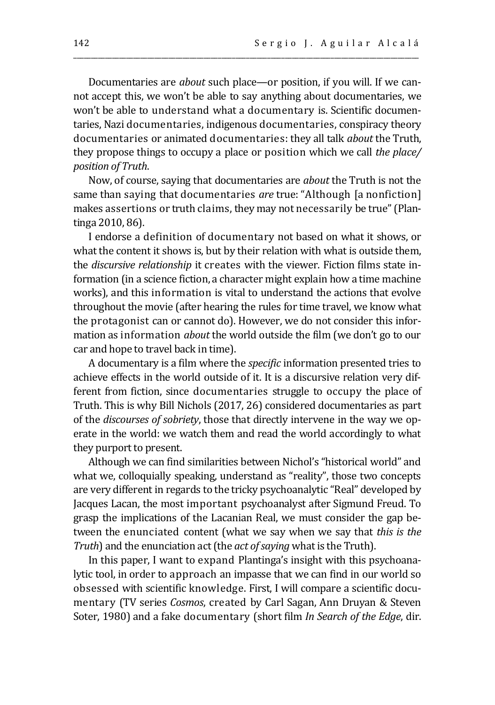Documentaries are *about* such place—or position, if you will. If we cannot accept this, we won't be able to say anything about documentaries, we won't be able to understand what a documentary is. Scientific documentaries, Nazi documentaries, indigenous documentaries, conspiracy theory documentaries or animated documentaries: they all talk *about* the Truth, they propose things to occupy a place or position which we call *the place/ position of Truth*.

\_\_\_\_\_\_\_\_\_\_\_\_\_\_\_\_\_\_\_\_\_\_\_\_\_\_\_\_\_\_\_\_\_\_\_\_\_\_\_\_\_\_\_\_\_\_\_\_\_\_\_\_\_\_\_\_\_\_\_\_\_\_\_\_\_\_\_\_\_\_\_\_\_\_\_\_\_\_\_\_\_\_\_\_\_\_\_\_\_\_\_\_\_\_\_\_\_\_

Now, of course, saying that documentaries are *about* the Truth is not the same than saying that documentaries *are* true: "Although [a nonfiction] makes assertions or truth claims, they may not necessarily be true" (Plantinga 2010, 86).

I endorse a definition of documentary not based on what it shows, or what the content it shows is, but by their relation with what is outside them, the *discursive relationship* it creates with the viewer. Fiction films state information (in a science fiction, a character might explain how a time machine works), and this information is vital to understand the actions that evolve throughout the movie (after hearing the rules for time travel, we know what the protagonist can or cannot do). However, we do not consider this information as information *about* the world outside the film (we don't go to our car and hope to travel back in time).

A documentary is a film where the *specific* information presented tries to achieve effects in the world outside of it. It is a discursive relation very different from fiction, since documentaries struggle to occupy the place of Truth. This is why Bill Nichols (2017, 26) considered documentaries as part of the *discourses of sobriety*, those that directly intervene in the way we operate in the world: we watch them and read the world accordingly to what they purport to present.

Although we can find similarities between Nichol's "historical world" and what we, colloquially speaking, understand as "reality", those two concepts are very different in regards to the tricky psychoanalytic "Real" developed by Jacques Lacan, the most important psychoanalyst after Sigmund Freud. To grasp the implications of the Lacanian Real, we must consider the gap between the enunciated content (what we say when we say that *this is the Truth*) and the enunciation act (the *act of saying* what is the Truth).

In this paper, I want to expand Plantinga's insight with this psychoanalytic tool, in order to approach an impasse that we can find in our world so obsessed with scientific knowledge. First, I will compare a scientific documentary (TV series *Cosmos*, created by Carl Sagan, Ann Druyan & Steven Soter, 1980) and a fake documentary (short film *In Search of the Edge*, dir.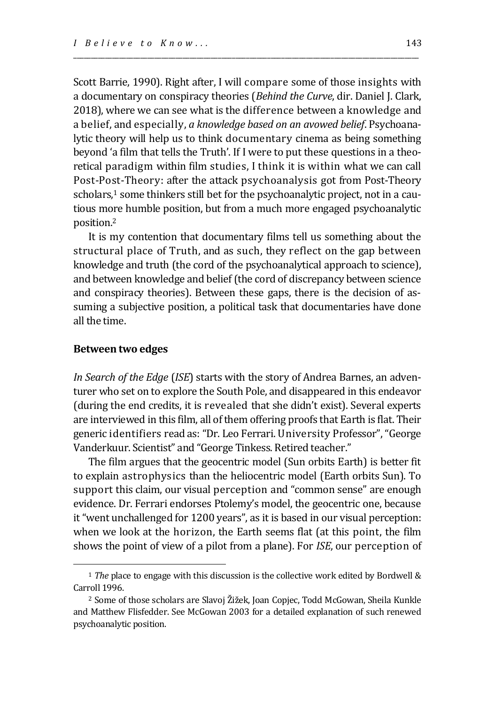Scott Barrie, 1990). Right after, I will compare some of those insights with a documentary on conspiracy theories (*Behind the Curve*, dir. Daniel J. Clark, 2018), where we can see what is the difference between a knowledge and a belief, and especially, *a knowledge based on an avowed belief*. Psychoanalytic theory will help us to think documentary cinema as being something beyond 'a film that tells the Truth'. If I were to put these questions in a theoretical paradigm within film studies, I think it is within what we can call Post-Post-Theory: after the attack psychoanalysis got from Post-Theory scholars, <sup>1</sup> some thinkers still bet for the psychoanalytic project, not in a cautious more humble position, but from a much more engaged psychoanalytic position. 2

\_\_\_\_\_\_\_\_\_\_\_\_\_\_\_\_\_\_\_\_\_\_\_\_\_\_\_\_\_\_\_\_\_\_\_\_\_\_\_\_\_\_\_\_\_\_\_\_\_\_\_\_\_\_\_\_\_\_\_\_\_\_\_\_\_\_\_\_\_\_\_\_\_\_\_\_\_\_\_\_\_\_\_\_\_\_\_\_\_\_\_\_\_\_\_\_\_\_

It is my contention that documentary films tell us something about the structural place of Truth, and as such, they reflect on the gap between knowledge and truth (the cord of the psychoanalytical approach to science), and between knowledge and belief (the cord of discrepancy between science and conspiracy theories). Between these gaps, there is the decision of assuming a subjective position, a political task that documentaries have done all the time.

#### **Between two edges**

*In Search of the Edge* (*ISE*) starts with the story of Andrea Barnes, an adventurer who set on to explore the South Pole, and disappeared in this endeavor (during the end credits, it is revealed that she didn't exist). Several experts are interviewed in this film, all of them offering proofs that Earth is flat. Their generic identifiers read as: "Dr. Leo Ferrari. University Professor", "George Vanderkuur. Scientist" and "George Tinkess. Retired teacher."

The film argues that the geocentric model (Sun orbits Earth) is better fit to explain astrophysics than the heliocentric model (Earth orbits Sun). To support this claim, our visual perception and "common sense" are enough evidence. Dr. Ferrari endorses Ptolemy's model, the geocentric one, because it "went unchallenged for 1200 years", as it is based in our visual perception: when we look at the horizon, the Earth seems flat (at this point, the film shows the point of view of a pilot from a plane). For *ISE*, our perception of

<sup>1</sup> *The* place to engage with this discussion is the collective work edited by Bordwell & Carroll 1996.

<sup>2</sup> Some of those scholars are Slavoj Žižek, Joan Copjec, Todd McGowan, Sheila Kunkle and Matthew Flisfedder. See McGowan 2003 for a detailed explanation of such renewed psychoanalytic position.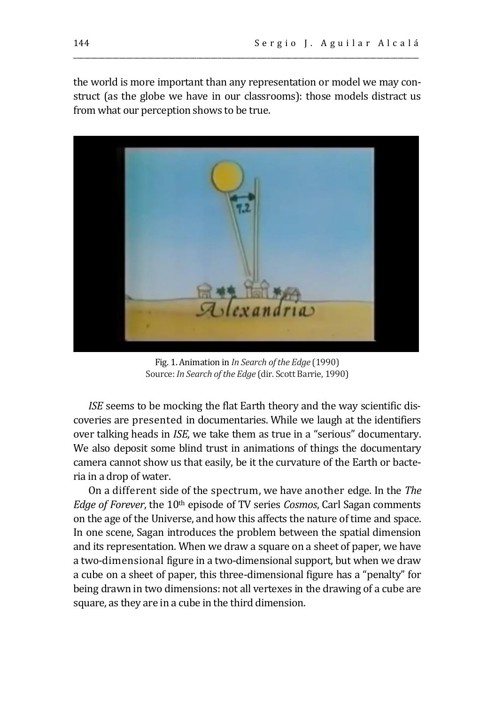the world is more important than any representation or model we may construct (as the globe we have in our classrooms): those models distract us from what our perception shows to be true.

\_\_\_\_\_\_\_\_\_\_\_\_\_\_\_\_\_\_\_\_\_\_\_\_\_\_\_\_\_\_\_\_\_\_\_\_\_\_\_\_\_\_\_\_\_\_\_\_\_\_\_\_\_\_\_\_\_\_\_\_\_\_\_\_\_\_\_\_\_\_\_\_\_\_\_\_\_\_\_\_\_\_\_\_\_\_\_\_\_\_\_\_\_\_\_\_\_\_



Fig. 1. Animation in *In Search of the Edge* (1990) Source: *In Search of the Edge* (dir. Scott Barrie, 1990)

*ISE* seems to be mocking the flat Earth theory and the way scientific discoveries are presented in documentaries. While we laugh at the identifiers over talking heads in *ISE*, we take them as true in a "serious" documentary. We also deposit some blind trust in animations of things the documentary camera cannot show us that easily, be it the curvature of the Earth or bacteria in a drop of water.

On a different side of the spectrum, we have another edge. In the *The Edge of Forever*, the 10<sup>th</sup> episode of TV series *Cosmos*, Carl Sagan comments on the age of the Universe, and how this affects the nature of time and space. In one scene, Sagan introduces the problem between the spatial dimension and its representation. When we draw a square on a sheet of paper, we have a two-dimensional figure in a two-dimensional support, but when we draw a cube on a sheet of paper, this three-dimensional figure has a "penalty" for being drawn in two dimensions: not all vertexes in the drawing of a cube are square, as they are in a cube in the third dimension.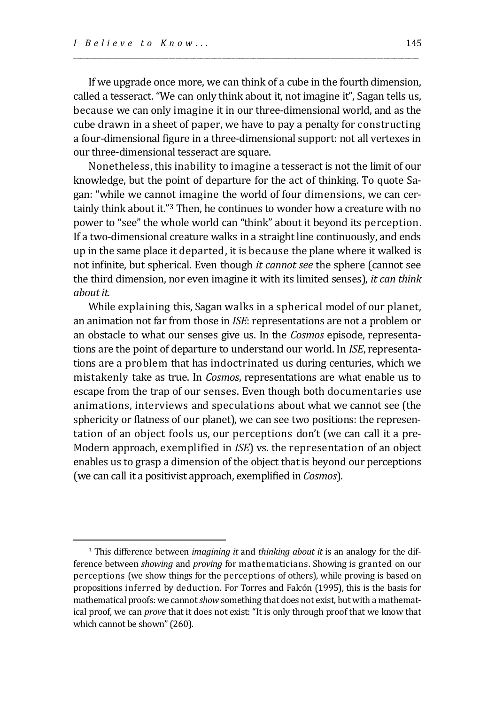If we upgrade once more, we can think of a cube in the fourth dimension, called a tesseract. "We can only think about it, not imagine it", Sagan tells us, because we can only imagine it in our three-dimensional world, and as the cube drawn in a sheet of paper, we have to pay a penalty for constructing a four-dimensional figure in a three-dimensional support: not all vertexes in our three-dimensional tesseract are square.

\_\_\_\_\_\_\_\_\_\_\_\_\_\_\_\_\_\_\_\_\_\_\_\_\_\_\_\_\_\_\_\_\_\_\_\_\_\_\_\_\_\_\_\_\_\_\_\_\_\_\_\_\_\_\_\_\_\_\_\_\_\_\_\_\_\_\_\_\_\_\_\_\_\_\_\_\_\_\_\_\_\_\_\_\_\_\_\_\_\_\_\_\_\_\_\_\_\_

Nonetheless, this inability to imagine a tesseract is not the limit of our knowledge, but the point of departure for the act of thinking. To quote Sagan: "while we cannot imagine the world of four dimensions, we can certainly think about it."<sup>3</sup> Then, he continues to wonder how a creature with no power to "see" the whole world can "think" about it beyond its perception. If a two-dimensional creature walks in a straight line continuously, and ends up in the same place it departed, it is because the plane where it walked is not infinite, but spherical. Even though *it cannot see* the sphere (cannot see the third dimension, nor even imagine it with its limited senses), *it can think about it*.

While explaining this, Sagan walks in a spherical model of our planet, an animation not far from those in *ISE*: representations are not a problem or an obstacle to what our senses give us. In the *Cosmos* episode, representations are the point of departure to understand our world. In *ISE*, representations are a problem that has indoctrinated us during centuries, which we mistakenly take as true. In *Cosmos*, representations are what enable us to escape from the trap of our senses. Even though both documentaries use animations, interviews and speculations about what we cannot see (the sphericity or flatness of our planet), we can see two positions: the representation of an object fools us, our perceptions don't (we can call it a pre-Modern approach, exemplified in *ISE*) vs. the representation of an object enables us to grasp a dimension of the object that is beyond our perceptions (we can call it a positivist approach, exemplified in *Cosmos*).

<sup>3</sup> This difference between *imagining it* and *thinking about it* is an analogy for the difference between *showing* and *proving* for mathematicians. Showing is granted on our perceptions (we show things for the perceptions of others), while proving is based on propositions inferred by deduction. For Torres and Falcón (1995), this is the basis for mathematical proofs: we cannot *show* something that does not exist, but with a mathematical proof, we can *prove* that it does not exist: "It is only through proof that we know that which cannot be shown" (260).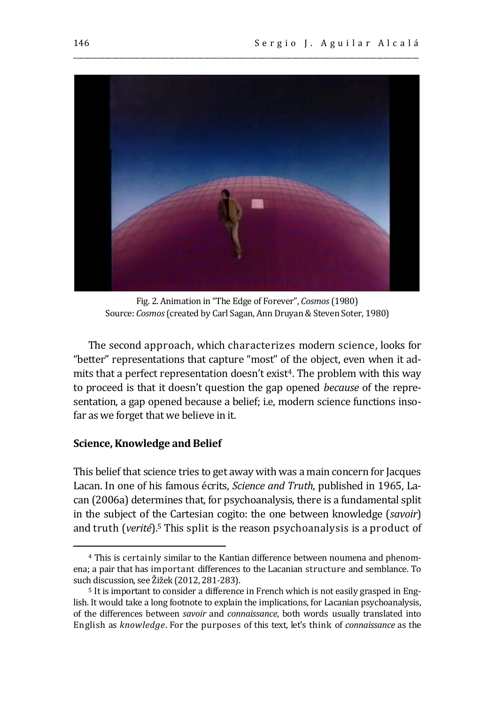

\_\_\_\_\_\_\_\_\_\_\_\_\_\_\_\_\_\_\_\_\_\_\_\_\_\_\_\_\_\_\_\_\_\_\_\_\_\_\_\_\_\_\_\_\_\_\_\_\_\_\_\_\_\_\_\_\_\_\_\_\_\_\_\_\_\_\_\_\_\_\_\_\_\_\_\_\_\_\_\_\_\_\_\_\_\_\_\_\_\_\_\_\_\_\_\_\_\_

Fig. 2. Animation in "The Edge of Forever", *Cosmos*(1980) Source: *Cosmos*(created by Carl Sagan, Ann Druyan & Steven Soter, 1980)

The second approach, which characterizes modern science, looks for "better" representations that capture "most" of the object, even when it admits that a perfect representation doesn't exist<sup>4</sup>. The problem with this way to proceed is that it doesn't question the gap opened *because* of the representation, a gap opened because a belief; i.e, modern science functions insofar as we forget that we believe in it.

#### **Science, Knowledge and Belief**

This belief that science tries to get away with was a main concern for Jacques Lacan. In one of his famous écrits, *Science and Truth*, published in 1965, Lacan (2006a) determines that, for psychoanalysis, there is a fundamental split in the subject of the Cartesian cogito: the one between knowledge (*savoir*) and truth (*verité*). <sup>5</sup> This split is the reason psychoanalysis is a product of

<sup>4</sup> This is certainly similar to the Kantian difference between noumena and phenomena; a pair that has important differences to the Lacanian structure and semblance. To such discussion, see Žižek (2012, 281-283).

<sup>5</sup> It is important to consider a difference in French which is not easily grasped in English. It would take a long footnote to explain the implications, for Lacanian psychoanalysis, of the differences between *savoir* and *connaissance*, both words usually translated into English as *knowledge*. For the purposes of this text, let's think of *connaissance* as the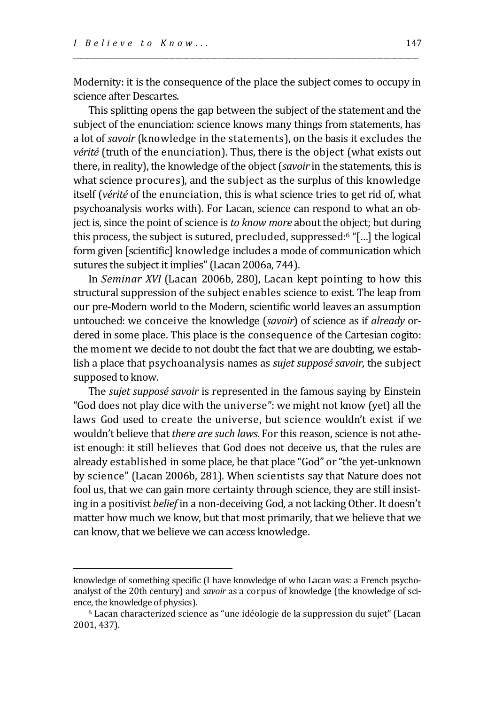Modernity: it is the consequence of the place the subject comes to occupy in science after Descartes.

\_\_\_\_\_\_\_\_\_\_\_\_\_\_\_\_\_\_\_\_\_\_\_\_\_\_\_\_\_\_\_\_\_\_\_\_\_\_\_\_\_\_\_\_\_\_\_\_\_\_\_\_\_\_\_\_\_\_\_\_\_\_\_\_\_\_\_\_\_\_\_\_\_\_\_\_\_\_\_\_\_\_\_\_\_\_\_\_\_\_\_\_\_\_\_\_\_\_

This splitting opens the gap between the subject of the statement and the subject of the enunciation: science knows many things from statements, has a lot of *savoir* (knowledge in the statements), on the basis it excludes the *vérité* (truth of the enunciation). Thus, there is the object (what exists out there, in reality), the knowledge of the object (*savoir* in the statements, this is what science procures), and the subject as the surplus of this knowledge itself (*vérité* of the enunciation, this is what science tries to get rid of, what psychoanalysis works with). For Lacan, science can respond to what an object is, since the point of science is *to know more* about the object; but during this process, the subject is sutured, precluded, suppressed: <sup>6</sup> "[…] the logical form given [scientific] knowledge includes a mode of communication which sutures the subject it implies" (Lacan 2006a, 744).

In *Seminar XVI* (Lacan 2006b, 280), Lacan kept pointing to how this structural suppression of the subject enables science to exist. The leap from our pre-Modern world to the Modern, scientific world leaves an assumption untouched: we conceive the knowledge (*savoir*) of science as if *already* ordered in some place. This place is the consequence of the Cartesian cogito: the moment we decide to not doubt the fact that we are doubting, we establish a place that psychoanalysis names as *sujet supposé savoir*, the subject supposed to know.

The *sujet supposé savoir* is represented in the famous saying by Einstein "God does not play dice with the universe": we might not know (yet) all the laws God used to create the universe, but science wouldn't exist if we wouldn't believe that *there are such laws*. For this reason, science is not atheist enough: it still believes that God does not deceive us, that the rules are already established in some place, be that place "God" or "the yet-unknown by science" (Lacan 2006b, 281). When scientists say that Nature does not fool us, that we can gain more certainty through science, they are still insisting in a positivist *belief* in a non-deceiving God, a not lacking Other. It doesn't matter how much we know, but that most primarily, that we believe that we can know, that we believe we can access knowledge.

knowledge of something specific (I have knowledge of who Lacan was: a French psychoanalyst of the 20th century) and *savoir* as a corpus of knowledge (the knowledge of science, the knowledge of physics).

<sup>6</sup> Lacan characterized science as "une idéologie de la suppression du sujet" (Lacan 2001, 437).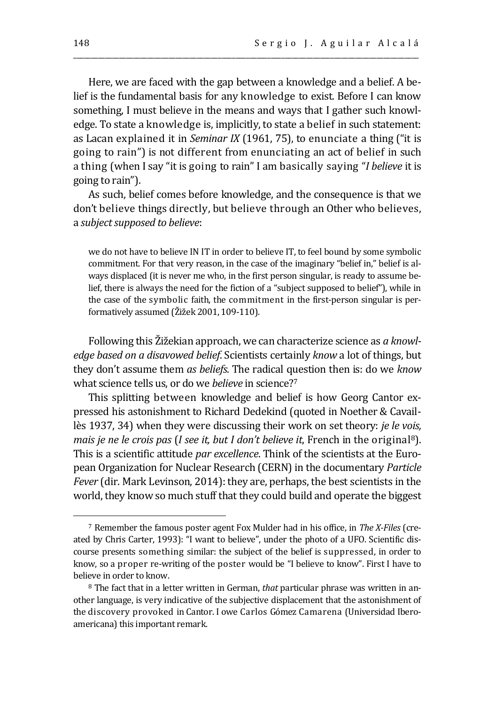Here, we are faced with the gap between a knowledge and a belief. A belief is the fundamental basis for any knowledge to exist. Before I can know something, I must believe in the means and ways that I gather such knowledge. To state a knowledge is, implicitly, to state a belief in such statement: as Lacan explained it in *Seminar IX* (1961, 75), to enunciate a thing ("it is going to rain") is not different from enunciating an act of belief in such a thing (when I say "it is going to rain" I am basically saying "*I believe* it is going to rain").

\_\_\_\_\_\_\_\_\_\_\_\_\_\_\_\_\_\_\_\_\_\_\_\_\_\_\_\_\_\_\_\_\_\_\_\_\_\_\_\_\_\_\_\_\_\_\_\_\_\_\_\_\_\_\_\_\_\_\_\_\_\_\_\_\_\_\_\_\_\_\_\_\_\_\_\_\_\_\_\_\_\_\_\_\_\_\_\_\_\_\_\_\_\_\_\_\_\_

As such, belief comes before knowledge, and the consequence is that we don't believe things directly, but believe through an Other who believes, a *subject supposed to believe*:

we do not have to believe IN IT in order to believe IT, to feel bound by some symbolic commitment. For that very reason, in the case of the imaginary "belief in," belief is always displaced (it is never me who, in the first person singular, is ready to assume belief, there is always the need for the fiction of a "subject supposed to belief"), while in the case of the symbolic faith, the commitment in the first-person singular is performatively assumed (Žižek 2001, 109-110).

Following this Žižekian approach, we can characterize science as *a knowledge based on a disavowed belief*. Scientists certainly *know* a lot of things, but they don't assume them *as beliefs*. The radical question then is: do we *know* what science tells us, or do we *believe* in science?<sup>7</sup>

This splitting between knowledge and belief is how Georg Cantor expressed his astonishment to Richard Dedekind (quoted in Noether & Cavaillès 1937, 34) when they were discussing their work on set theory: *je le vois, mais je ne le crois pas* (*I see it, but I don't believe it*, French in the original8). This is a scientific attitude *par excellence*. Think of the scientists at the European Organization for Nuclear Research (CERN) in the documentary *Particle Fever* (dir. Mark Levinson, 2014): they are, perhaps, the best scientists in the world, they know so much stuff that they could build and operate the biggest

<sup>7</sup> Remember the famous poster agent Fox Mulder had in his office, in *The X-Files* (created by Chris Carter, 1993): "I want to believe", under the photo of a UFO. Scientific discourse presents something similar: the subject of the belief is suppressed, in order to know, so a proper re-writing of the poster would be "I believe to know". First I have to believe in order to know.

<sup>8</sup> The fact that in a letter written in German, *that* particular phrase was written in another language, is very indicative of the subjective displacement that the astonishment of the discovery provoked in Cantor. I owe Carlos Gómez Camarena (Universidad Iberoamericana) this important remark.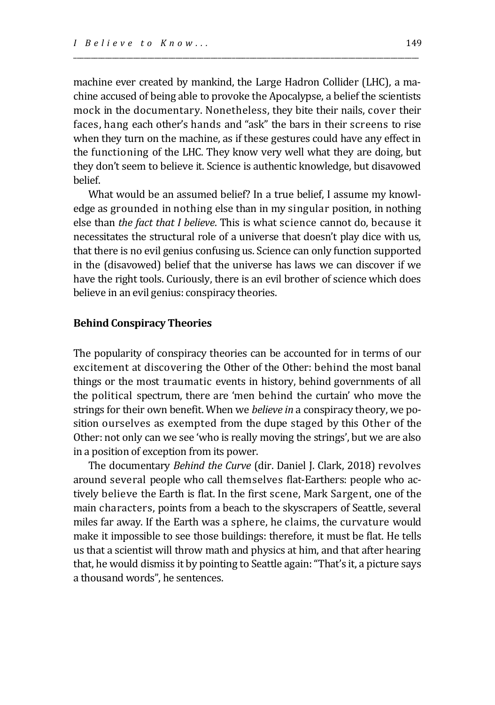machine ever created by mankind, the Large Hadron Collider (LHC), a machine accused of being able to provoke the Apocalypse, a belief the scientists mock in the documentary. Nonetheless, they bite their nails, cover their faces, hang each other's hands and "ask" the bars in their screens to rise when they turn on the machine, as if these gestures could have any effect in the functioning of the LHC. They know very well what they are doing, but they don't seem to believe it. Science is authentic knowledge, but disavowed belief.

\_\_\_\_\_\_\_\_\_\_\_\_\_\_\_\_\_\_\_\_\_\_\_\_\_\_\_\_\_\_\_\_\_\_\_\_\_\_\_\_\_\_\_\_\_\_\_\_\_\_\_\_\_\_\_\_\_\_\_\_\_\_\_\_\_\_\_\_\_\_\_\_\_\_\_\_\_\_\_\_\_\_\_\_\_\_\_\_\_\_\_\_\_\_\_\_\_\_

What would be an assumed belief? In a true belief, I assume my knowledge as grounded in nothing else than in my singular position, in nothing else than *the fact that I believe*. This is what science cannot do, because it necessitates the structural role of a universe that doesn't play dice with us, that there is no evil genius confusing us. Science can only function supported in the (disavowed) belief that the universe has laws we can discover if we have the right tools. Curiously, there is an evil brother of science which does believe in an evil genius: conspiracy theories.

#### **Behind Conspiracy Theories**

The popularity of conspiracy theories can be accounted for in terms of our excitement at discovering the Other of the Other: behind the most banal things or the most traumatic events in history, behind governments of all the political spectrum, there are 'men behind the curtain' who move the strings for their own benefit. When we *believe in* a conspiracy theory, we position ourselves as exempted from the dupe staged by this Other of the Other: not only can we see 'who is really moving the strings', but we are also in a position of exception from its power.

The documentary *Behind the Curve* (dir. Daniel J. Clark, 2018) revolves around several people who call themselves flat-Earthers: people who actively believe the Earth is flat. In the first scene, Mark Sargent, one of the main characters, points from a beach to the skyscrapers of Seattle, several miles far away. If the Earth was a sphere, he claims, the curvature would make it impossible to see those buildings: therefore, it must be flat. He tells us that a scientist will throw math and physics at him, and that after hearing that, he would dismiss it by pointing to Seattle again: "That's it, a picture says a thousand words", he sentences.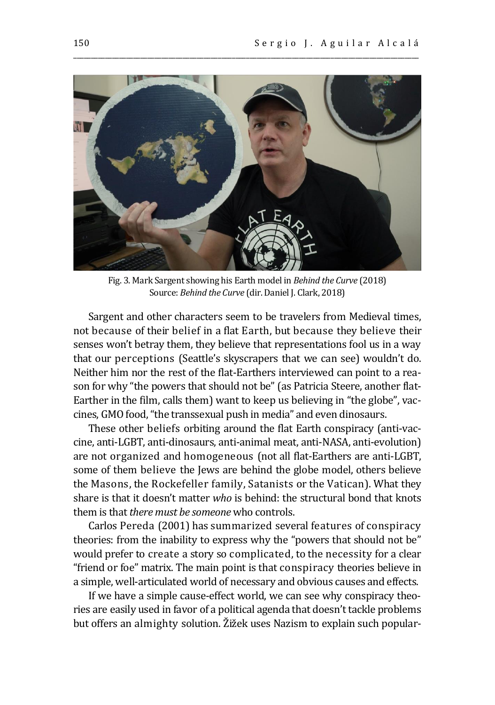

\_\_\_\_\_\_\_\_\_\_\_\_\_\_\_\_\_\_\_\_\_\_\_\_\_\_\_\_\_\_\_\_\_\_\_\_\_\_\_\_\_\_\_\_\_\_\_\_\_\_\_\_\_\_\_\_\_\_\_\_\_\_\_\_\_\_\_\_\_\_\_\_\_\_\_\_\_\_\_\_\_\_\_\_\_\_\_\_\_\_\_\_\_\_\_\_\_\_

Fig. 3. Mark Sargent showing his Earth model in *Behind the Curve* (2018) Source: *Behind the Curve* (dir. Daniel J. Clark, 2018)

Sargent and other characters seem to be travelers from Medieval times, not because of their belief in a flat Earth, but because they believe their senses won't betray them, they believe that representations fool us in a way that our perceptions (Seattle's skyscrapers that we can see) wouldn't do. Neither him nor the rest of the flat-Earthers interviewed can point to a reason for why "the powers that should not be" (as Patricia Steere, another flat-Earther in the film, calls them) want to keep us believing in "the globe", vaccines, GMO food, "the transsexual push in media" and even dinosaurs.

These other beliefs orbiting around the flat Earth conspiracy (anti-vaccine, anti-LGBT, anti-dinosaurs, anti-animal meat, anti-NASA, anti-evolution) are not organized and homogeneous (not all flat-Earthers are anti-LGBT, some of them believe the Jews are behind the globe model, others believe the Masons, the Rockefeller family, Satanists or the Vatican). What they share is that it doesn't matter *who* is behind: the structural bond that knots them is that *there must be someone* who controls.

Carlos Pereda (2001) has summarized several features of conspiracy theories: from the inability to express why the "powers that should not be" would prefer to create a story so complicated, to the necessity for a clear "friend or foe" matrix. The main point is that conspiracy theories believe in a simple, well-articulated world of necessary and obvious causes and effects.

If we have a simple cause-effect world, we can see why conspiracy theories are easily used in favor of a political agenda that doesn't tackle problems but offers an almighty solution. Žižek uses Nazism to explain such popular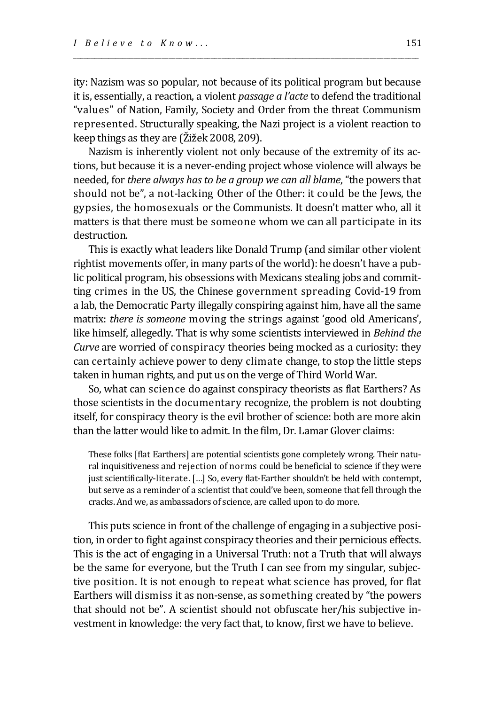ity: Nazism was so popular, not because of its political program but because it is, essentially, a reaction, a violent *passage a l'acte* to defend the traditional "values" of Nation, Family, Society and Order from the threat Communism represented. Structurally speaking, the Nazi project is a violent reaction to keep things as they are (Žižek 2008, 209).

\_\_\_\_\_\_\_\_\_\_\_\_\_\_\_\_\_\_\_\_\_\_\_\_\_\_\_\_\_\_\_\_\_\_\_\_\_\_\_\_\_\_\_\_\_\_\_\_\_\_\_\_\_\_\_\_\_\_\_\_\_\_\_\_\_\_\_\_\_\_\_\_\_\_\_\_\_\_\_\_\_\_\_\_\_\_\_\_\_\_\_\_\_\_\_\_\_\_

Nazism is inherently violent not only because of the extremity of its actions, but because it is a never-ending project whose violence will always be needed, for *there always has to be a group we can all blame*, "the powers that should not be", a not-lacking Other of the Other: it could be the Jews, the gypsies, the homosexuals or the Communists. It doesn't matter who, all it matters is that there must be someone whom we can all participate in its destruction.

This is exactly what leaders like Donald Trump (and similar other violent rightist movements offer, in many parts of the world): he doesn't have a public political program, his obsessions with Mexicans stealing jobs and committing crimes in the US, the Chinese government spreading Covid-19 from a lab, the Democratic Party illegally conspiring against him, have all the same matrix: *there is someone* moving the strings against 'good old Americans', like himself, allegedly. That is why some scientists interviewed in *Behind the Curve* are worried of conspiracy theories being mocked as a curiosity: they can certainly achieve power to deny climate change, to stop the little steps taken in human rights, and put us on the verge of Third World War.

So, what can science do against conspiracy theorists as flat Earthers? As those scientists in the documentary recognize, the problem is not doubting itself, for conspiracy theory is the evil brother of science: both are more akin than the latter would like to admit. In the film, Dr. Lamar Glover claims:

These folks [flat Earthers] are potential scientists gone completely wrong. Their natural inquisitiveness and rejection of norms could be beneficial to science if they were just scientifically-literate. […] So, every flat-Earther shouldn't be held with contempt, but serve as a reminder of a scientist that could've been, someone that fell through the cracks. And we, as ambassadors of science, are called upon to do more.

This puts science in front of the challenge of engaging in a subjective position, in order to fight against conspiracy theories and their pernicious effects. This is the act of engaging in a Universal Truth: not a Truth that will always be the same for everyone, but the Truth I can see from my singular, subjective position. It is not enough to repeat what science has proved, for flat Earthers will dismiss it as non-sense, as something created by "the powers that should not be". A scientist should not obfuscate her/his subjective investment in knowledge: the very fact that, to know, first we have to believe.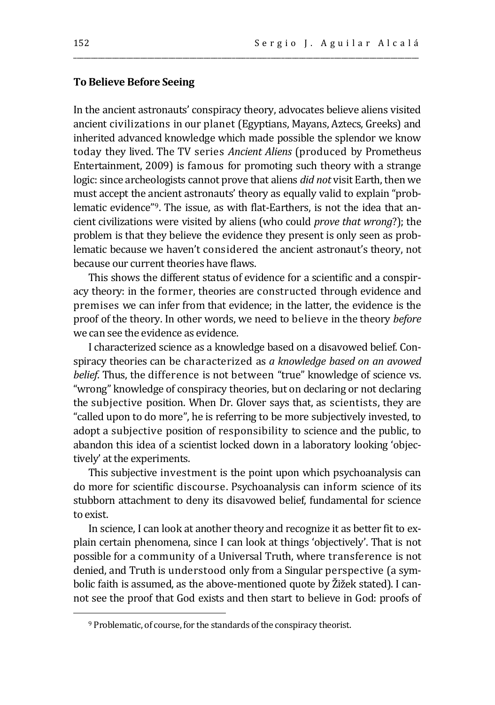### **To Believe Before Seeing**

In the ancient astronauts' conspiracy theory, advocates believe aliens visited ancient civilizations in our planet (Egyptians, Mayans, Aztecs, Greeks) and inherited advanced knowledge which made possible the splendor we know today they lived. The TV series *Ancient Aliens* (produced by Prometheus Entertainment, 2009) is famous for promoting such theory with a strange logic: since archeologists cannot prove that aliens *did not* visit Earth, then we must accept the ancient astronauts' theory as equally valid to explain "problematic evidence"9. The issue, as with flat-Earthers, is not the idea that ancient civilizations were visited by aliens (who could *prove that wrong*?); the problem is that they believe the evidence they present is only seen as problematic because we haven't considered the ancient astronaut's theory, not because our current theories have flaws.

\_\_\_\_\_\_\_\_\_\_\_\_\_\_\_\_\_\_\_\_\_\_\_\_\_\_\_\_\_\_\_\_\_\_\_\_\_\_\_\_\_\_\_\_\_\_\_\_\_\_\_\_\_\_\_\_\_\_\_\_\_\_\_\_\_\_\_\_\_\_\_\_\_\_\_\_\_\_\_\_\_\_\_\_\_\_\_\_\_\_\_\_\_\_\_\_\_\_

This shows the different status of evidence for a scientific and a conspiracy theory: in the former, theories are constructed through evidence and premises we can infer from that evidence; in the latter, the evidence is the proof of the theory. In other words, we need to believe in the theory *before* we can see the evidence as evidence.

I characterized science as a knowledge based on a disavowed belief. Conspiracy theories can be characterized as *a knowledge based on an avowed belief*. Thus, the difference is not between "true" knowledge of science vs. "wrong" knowledge of conspiracy theories, but on declaring or not declaring the subjective position. When Dr. Glover says that, as scientists, they are "called upon to do more", he is referring to be more subjectively invested, to adopt a subjective position of responsibility to science and the public, to abandon this idea of a scientist locked down in a laboratory looking 'objectively' at the experiments.

This subjective investment is the point upon which psychoanalysis can do more for scientific discourse. Psychoanalysis can inform science of its stubborn attachment to deny its disavowed belief, fundamental for science to exist.

In science, I can look at another theory and recognize it as better fit to explain certain phenomena, since I can look at things 'objectively'. That is not possible for a community of a Universal Truth, where transference is not denied, and Truth is understood only from a Singular perspective (a symbolic faith is assumed, as the above-mentioned quote by Žižek stated). I cannot see the proof that God exists and then start to believe in God: proofs of

<sup>9</sup> Problematic, of course, for the standards of the conspiracy theorist.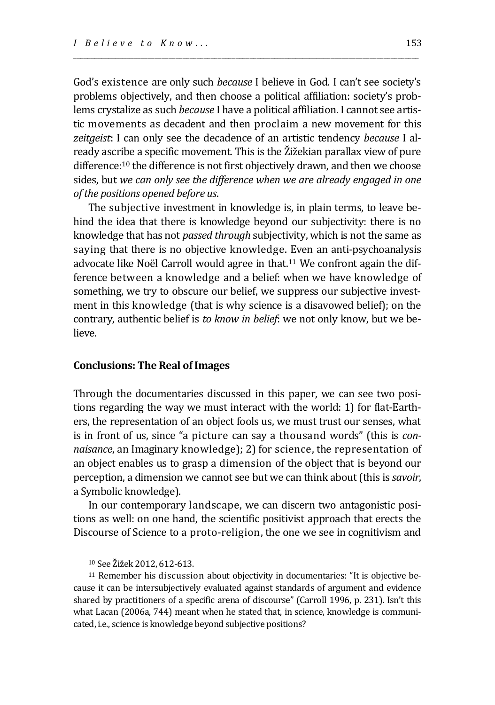God's existence are only such *because* I believe in God. I can't see society's problems objectively, and then choose a political affiliation: society's problems crystalize as such *because* I have a political affiliation. I cannot see artistic movements as decadent and then proclaim a new movement for this *zeitgeist*: I can only see the decadence of an artistic tendency *because* I already ascribe a specific movement. This is the Žižekian parallax view of pure difference: <sup>10</sup> the difference is not first objectively drawn, and then we choose sides, but *we can only see the difference when we are already engaged in one of the positions opened before us*.

\_\_\_\_\_\_\_\_\_\_\_\_\_\_\_\_\_\_\_\_\_\_\_\_\_\_\_\_\_\_\_\_\_\_\_\_\_\_\_\_\_\_\_\_\_\_\_\_\_\_\_\_\_\_\_\_\_\_\_\_\_\_\_\_\_\_\_\_\_\_\_\_\_\_\_\_\_\_\_\_\_\_\_\_\_\_\_\_\_\_\_\_\_\_\_\_\_\_

The subjective investment in knowledge is, in plain terms, to leave behind the idea that there is knowledge beyond our subjectivity: there is no knowledge that has not *passed through* subjectivity, which is not the same as saying that there is no objective knowledge. Even an anti-psychoanalysis advocate like Noël Carroll would agree in that. <sup>11</sup> We confront again the difference between a knowledge and a belief: when we have knowledge of something, we try to obscure our belief, we suppress our subjective investment in this knowledge (that is why science is a disavowed belief); on the contrary, authentic belief is *to know in belief*: we not only know, but we believe.

#### **Conclusions: The Real of Images**

Through the documentaries discussed in this paper, we can see two positions regarding the way we must interact with the world: 1) for flat-Earthers, the representation of an object fools us, we must trust our senses, what is in front of us, since "a picture can say a thousand words" (this is *connaisance*, an Imaginary knowledge); 2) for science, the representation of an object enables us to grasp a dimension of the object that is beyond our perception, a dimension we cannot see but we can think about (this is *savoir*, a Symbolic knowledge).

In our contemporary landscape, we can discern two antagonistic positions as well: on one hand, the scientific positivist approach that erects the Discourse of Science to a proto-religion, the one we see in cognitivism and

<sup>10</sup> See Žižek 2012, 612-613.

<sup>11</sup> Remember his discussion about objectivity in documentaries: "It is objective because it can be intersubjectively evaluated against standards of argument and evidence shared by practitioners of a specific arena of discourse" (Carroll 1996, p. 231). Isn't this what Lacan (2006a, 744) meant when he stated that, in science, knowledge is communicated, i.e., science is knowledge beyond subjective positions?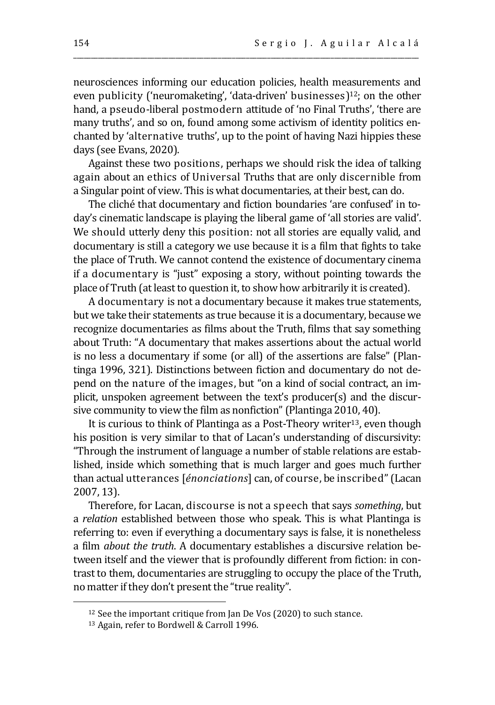neurosciences informing our education policies, health measurements and even publicity ('neuromaketing', 'data-driven' businesses) <sup>12</sup>; on the other hand, a pseudo-liberal postmodern attitude of 'no Final Truths', 'there are many truths', and so on, found among some activism of identity politics enchanted by 'alternative truths', up to the point of having Nazi hippies these days (see Evans, 2020).

\_\_\_\_\_\_\_\_\_\_\_\_\_\_\_\_\_\_\_\_\_\_\_\_\_\_\_\_\_\_\_\_\_\_\_\_\_\_\_\_\_\_\_\_\_\_\_\_\_\_\_\_\_\_\_\_\_\_\_\_\_\_\_\_\_\_\_\_\_\_\_\_\_\_\_\_\_\_\_\_\_\_\_\_\_\_\_\_\_\_\_\_\_\_\_\_\_\_

Against these two positions, perhaps we should risk the idea of talking again about an ethics of Universal Truths that are only discernible from a Singular point of view. This is what documentaries, at their best, can do.

The cliché that documentary and fiction boundaries 'are confused' in today's cinematic landscape is playing the liberal game of 'all stories are valid'. We should utterly deny this position: not all stories are equally valid, and documentary is still a category we use because it is a film that fights to take the place of Truth. We cannot contend the existence of documentary cinema if a documentary is "just" exposing a story, without pointing towards the place of Truth (at least to question it, to show how arbitrarily it is created).

A documentary is not a documentary because it makes true statements, but we take their statements as true because it is a documentary, because we recognize documentaries as films about the Truth, films that say something about Truth: "A documentary that makes assertions about the actual world is no less a documentary if some (or all) of the assertions are false" (Plantinga 1996, 321). Distinctions between fiction and documentary do not depend on the nature of the images, but "on a kind of social contract, an implicit, unspoken agreement between the text's producer(s) and the discursive community to view the film as nonfiction" (Plantinga 2010, 40).

It is curious to think of Plantinga as a Post-Theory writer<sup>13</sup>, even though his position is very similar to that of Lacan's understanding of discursivity: "Through the instrument of language a number of stable relations are established, inside which something that is much larger and goes much further than actual utterances [*énonciations*] can, of course, be inscribed" (Lacan 2007, 13).

Therefore, for Lacan, discourse is not a speech that says *something*, but a *relation* established between those who speak. This is what Plantinga is referring to: even if everything a documentary says is false, it is nonetheless a film *about the truth*. A documentary establishes a discursive relation between itself and the viewer that is profoundly different from fiction: in contrast to them, documentaries are struggling to occupy the place of the Truth, no matter if they don't present the "true reality".

<sup>&</sup>lt;sup>12</sup> See the important critique from Jan De Vos (2020) to such stance.

<sup>13</sup> Again, refer to Bordwell & Carroll 1996.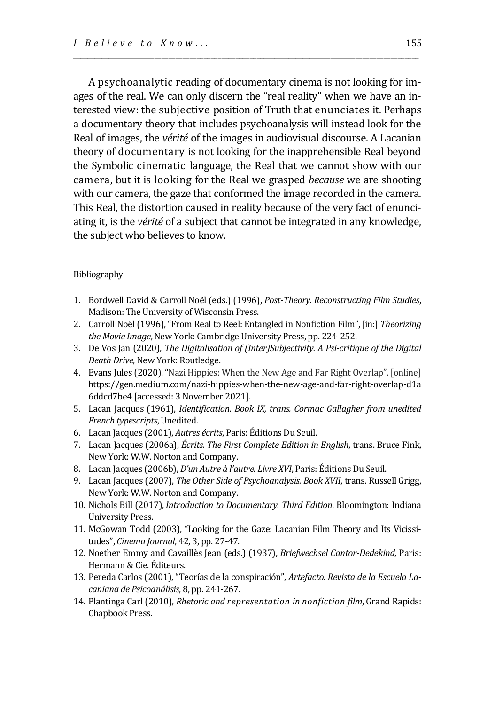A psychoanalytic reading of documentary cinema is not looking for images of the real. We can only discern the "real reality" when we have an interested view: the subjective position of Truth that enunciates it. Perhaps a documentary theory that includes psychoanalysis will instead look for the Real of images, the *vérité* of the images in audiovisual discourse. A Lacanian theory of documentary is not looking for the inapprehensible Real beyond the Symbolic cinematic language, the Real that we cannot show with our camera, but it is looking for the Real we grasped *because* we are shooting with our camera, the gaze that conformed the image recorded in the camera. This Real, the distortion caused in reality because of the very fact of enunciating it, is the *vérité* of a subject that cannot be integrated in any knowledge, the subject who believes to know.

\_\_\_\_\_\_\_\_\_\_\_\_\_\_\_\_\_\_\_\_\_\_\_\_\_\_\_\_\_\_\_\_\_\_\_\_\_\_\_\_\_\_\_\_\_\_\_\_\_\_\_\_\_\_\_\_\_\_\_\_\_\_\_\_\_\_\_\_\_\_\_\_\_\_\_\_\_\_\_\_\_\_\_\_\_\_\_\_\_\_\_\_\_\_\_\_\_\_

#### Bibliography

- 1. Bordwell David & Carroll Noël (eds.) (1996), *Post-Theory. Reconstructing Film Studies*, Madison: The University of Wisconsin Press.
- 2. Carroll Noël (1996), "From Real to Reel: Entangled in Nonfiction Film", [in:] *Theorizing*  the Movie Image, New York: Cambridge University Press, pp. 224-252.
- 3. De Vos Jan (2020), *The Digitalisation of (Inter)Subjectivity. A Psi-critique of the Digital Death Drive*, New York: Routledge.
- 4. Evans Jules (2020). "Nazi Hippies: When the New Age and Far Right Overlap", [online] https://gen.medium.com/nazi-hippies-when-the-new-age-and-far-right-overlap-d1a 6ddcd7be4 [accessed: 3 November 2021].
- 5. Lacan Jacques (1961), *Identification. Book IX, trans. Cormac Gallagher from unedited French typescripts*, Unedited.
- 6. Lacan Jacques (2001), *Autres écrits*, Paris: Éditions Du Seuil.
- 7. Lacan Jacques (2006a), *Écrits. The First Complete Edition in English*, trans. Bruce Fink, New York: W.W. Norton and Company.
- 8. Lacan Jacques (2006b), *D'un Autre à l'autre. Livre XVI*, Paris: Éditions Du Seuil.
- 9. Lacan Jacques (2007), *The Other Side of Psychoanalysis. Book XVII*, trans. Russell Grigg, New York: W.W. Norton and Company.
- 10. Nichols Bill (2017), *Introduction to Documentary. Third Edition*, Bloomington: Indiana University Press.
- 11. McGowan Todd (2003), "Looking for the Gaze: Lacanian Film Theory and Its Vicissitudes", *Cinema Journal*, 42, 3, pp. 27-47.
- 12. Noether Emmy and Cavaillès Jean (eds.) (1937), *Briefwechsel Cantor-Dedekind*, Paris: Hermann & Cie. Éditeurs.
- 13. Pereda Carlos (2001), "Teorías de la conspiración", *Artefacto. Revista de la Escuela Lacaniana de Psicoanálisis*, 8, pp. 241-267.
- 14. Plantinga Carl (2010), *Rhetoric and representation in nonfiction film*, Grand Rapids: Chapbook Press.